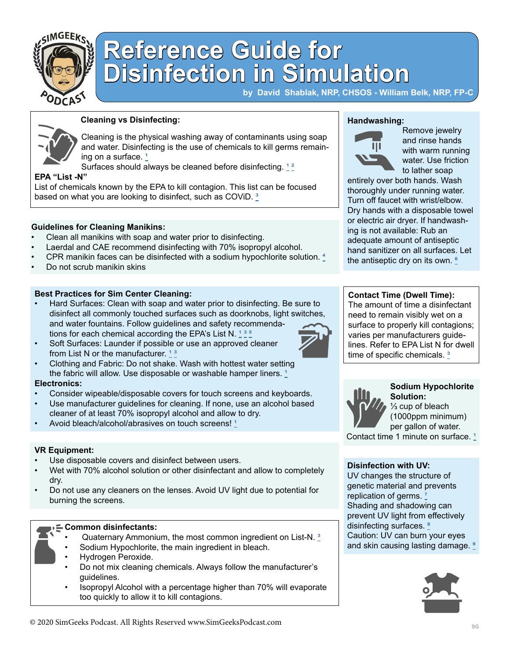

# **Reference Guide for Disinfection in Simulation**

**by David Shablak, NRP, CHSOS - William Belk, NRP, FP-C** 

**Handwashing:**

Щ

Remove jewelry and rinse hands with warm running water. Use friction to lather soap



### **Cleaning vs Disinfecting:**

Cleaning is the physical washing away of contaminants using soap and water. Disinfecting is the use of chemicals to kill germs remaining on a surface.<sup>1</sup>

Surfaces should always be cleaned before disinfecting.  $12$ 

#### **EPA "List -N"**

**VR Equipment:**

**Electronics:**

burning the screens.

**Common disinfectants:** 

• Hydrogen Peroxide.

guidelines.

dry.

List of chemicals known by the EPA to kill contagion. This list can be focused based on what you are looking to disinfect, such as COViD.<sup>3</sup>

#### **Guidelines for Cleaning Manikins:**

- Clean all manikins with soap and water prior to disinfecting.
- Laerdal and CAE recommend disinfecting with 70% isopropyl alcohol.
- CPR manikin faces can be disinfected with a sodium hypochlorite solution.  $\frac{4}{5}$  $\frac{4}{5}$  $\frac{4}{5}$
- Do not scrub manikin skins

#### **Best Practices for Sim Center Cleaning:**

• Hard Surfaces: Clean with soap and water prior to disinfecting. Be sure to disinfect all commonly touched surfaces such as doorknobs, light switches, and water fountains. Follow guidelines and safety recommendations for each chemical according the EPA's List N.  $1$ 

• Clothing and Fabric: Do not shake. Wash with hottest water setting the fabric will allow. Use disposable or washable hamper liners.  $1$ 

• Consider wipeable/disposable covers for touch screens and keyboards. • Use manufacturer guidelines for cleaning. If none, use an alcohol based

• Wet with 70% alcohol solution or other disinfectant and allow to completely

• Do not use any cleaners on the lenses. Avoid UV light due to potential for

Sodium Hypochlorite, the main ingredient in bleach.

• Quaternary Ammonium, the most common ingredient on List-N. [³](https://www.epa.gov/pesticide-registration/list-n-disinfectants-use-against-sars-cov-2
)

• Do not mix cleaning chemicals. Always follow the manufacturer's

• Isopropyl Alcohol with a percentage higher than 70% will evaporate

Soft Surfaces: Launder if possible or use an approved cleaner from List N or the manufacturer.  $13$ 

cleaner of at least 70% isopropyl alcohol and allow to dry. Avoid bleach/alcohol/abrasives on touch screens!<sup>1</sup>





#### **Disinfection with UV:**

UV changes the structure of genetic material and prevents replication of germs. Shading and shadowing can prevent UV light from effectively disinfecting surfaces.<sup>8</sup> Caution: UV can burn your eyes and skin causing lasting damage.





too quickly to allow it to kill contagions.

Use disposable covers and disinfect between users.



**Contact Time (Dwell Time):**

entirely over both hands. Wash thoroughly under running water. Turn off faucet with wrist/elbow. Dry hands with a disposable towel or electric air dryer. If handwashing is not available: Rub an adequate amount of antiseptic hand sanitizer on all surfaces. Let the antiseptic dry on its own.  $\frac{6}{5}$ 

The amount of time a disinfectant need to remain visibly wet on a surface to properly kill contagions; varies per manufacturers guidelines. Refer to EPA List N for dwell time of specific chemicals.<sup>3</sup>